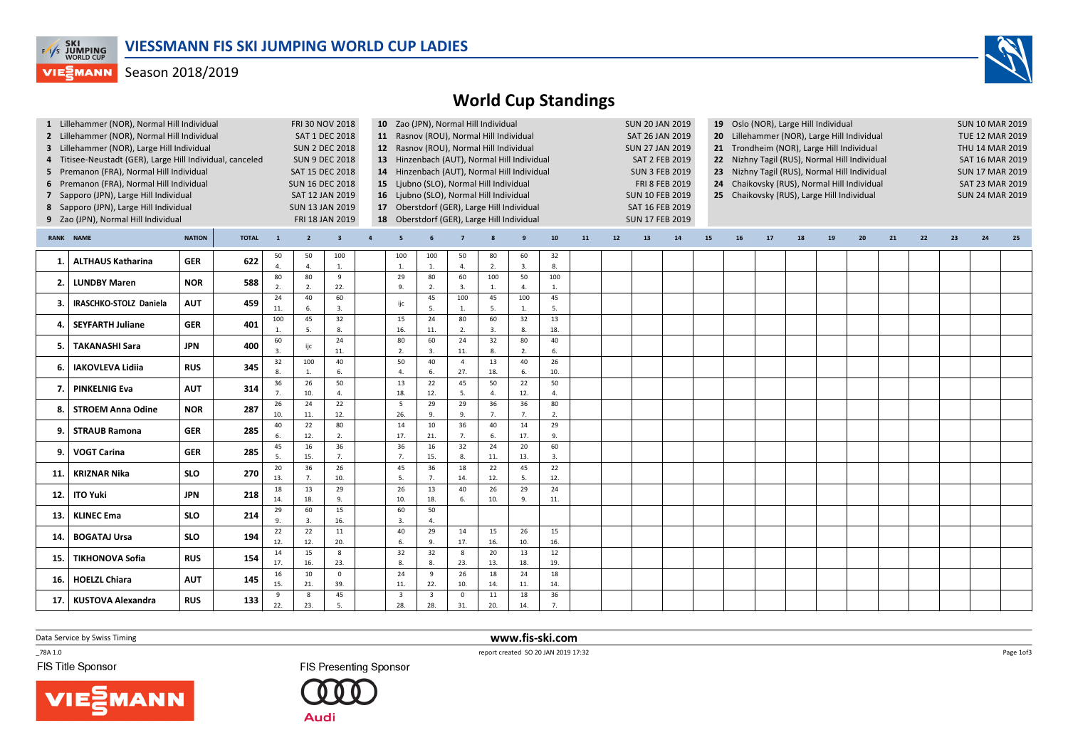

## **VIEGMANN** Season 2018/2019



|                                                             | 1 Lillehammer (NOR), Normal Hill Individual<br>2 Lillehammer (NOR), Normal Hill Individual<br>3 Lillehammer (NOR), Large Hill Individual<br>4 Titisee-Neustadt (GER), Large Hill Individual, canceled<br>5 Premanon (FRA), Normal Hill Individual<br>6 Premanon (FRA), Normal Hill Individual<br>7 Sapporo (JPN), Large Hill Individual<br>8 Sapporo (JPN), Large Hill Individual<br>9 Zao (JPN), Normal Hill Individual |            | <b>SUN 16 DEC 2018</b><br>SAT 12 JAN 2019<br><b>SUN 13 JAN 2019</b> | <b>FRI 30 NOV 2018</b><br><b>SAT 1 DEC 2018</b><br><b>SUN 2 DEC 2018</b><br><b>SUN 9 DEC 2018</b><br>SAT 15 DEC 2018<br>FRI 18 JAN 2019 |                      | 10 Zao (JPN), Normal Hill Individual<br>11 Rasnov (ROU), Normal Hill Individual<br>12 Rasnov (ROU), Normal Hill Individual<br>13 Hinzenbach (AUT), Normal Hill Individual<br>14 Hinzenbach (AUT), Normal Hill Individual<br>15 Ljubno (SLO), Normal Hill Individual<br>16 Ljubno (SLO), Normal Hill Individual<br>17 Oberstdorf (GER), Large Hill Individual<br>18 Oberstdorf (GER), Large Hill Individual |                |                                |                                |                       |                      |                      |                    |    | <b>SUN 20 JAN 2019</b><br>SAT 26 JAN 2019<br><b>SUN 27 JAN 2019</b><br><b>SAT 2 FEB 2019</b><br><b>SUN 3 FEB 2019</b><br>FRI 8 FEB 2019<br><b>SUN 10 FEB 2019</b><br>SAT 16 FEB 2019<br>SUN 17 FEB 2019 | 19 Oslo (NOR), Large Hill Individual<br>20 Lillehammer (NOR), Large Hill Individual<br>21 Trondheim (NOR), Large Hill Individual<br>22 Nizhny Tagil (RUS), Normal Hill Individual<br>23 Nizhny Tagil (RUS), Normal Hill Individual<br>24 Chaikovsky (RUS), Normal Hill Individual<br>25 Chaikovsky (RUS), Large Hill Individual |    |    |    |    |    |    |    |    | <b>SUN 10 MAR 2019</b><br><b>TUE 12 MAR 2019</b><br>THU 14 MAR 2019<br>SAT 16 MAR 2019<br><b>SUN 17 MAR 2019</b><br>SAT 23 MAR 2019<br><b>SUN 24 MAR 2019</b> |    |    |    |
|-------------------------------------------------------------|--------------------------------------------------------------------------------------------------------------------------------------------------------------------------------------------------------------------------------------------------------------------------------------------------------------------------------------------------------------------------------------------------------------------------|------------|---------------------------------------------------------------------|-----------------------------------------------------------------------------------------------------------------------------------------|----------------------|------------------------------------------------------------------------------------------------------------------------------------------------------------------------------------------------------------------------------------------------------------------------------------------------------------------------------------------------------------------------------------------------------------|----------------|--------------------------------|--------------------------------|-----------------------|----------------------|----------------------|--------------------|----|---------------------------------------------------------------------------------------------------------------------------------------------------------------------------------------------------------|---------------------------------------------------------------------------------------------------------------------------------------------------------------------------------------------------------------------------------------------------------------------------------------------------------------------------------|----|----|----|----|----|----|----|----|---------------------------------------------------------------------------------------------------------------------------------------------------------------|----|----|----|
| <b>NATION</b><br><b>NAME</b><br><b>TOTAL</b><br><b>RANK</b> |                                                                                                                                                                                                                                                                                                                                                                                                                          |            |                                                                     |                                                                                                                                         | $\overline{2}$       | $\overline{\mathbf{3}}$                                                                                                                                                                                                                                                                                                                                                                                    | $\overline{a}$ | 5                              |                                |                       |                      | 9                    | ${\bf 10}$         | 11 | 12                                                                                                                                                                                                      | 13                                                                                                                                                                                                                                                                                                                              | 14 | 15 | 16 | 17 | 18 | 19 | 20 | 21 | 22                                                                                                                                                            | 23 | 24 | 25 |
| 1.                                                          | <b>ALTHAUS Katharina</b>                                                                                                                                                                                                                                                                                                                                                                                                 | <b>GER</b> | 622                                                                 | 50<br>$\overline{4}$                                                                                                                    | 50<br>$\Delta$       | 100<br>1.                                                                                                                                                                                                                                                                                                                                                                                                  |                | 100<br>1.                      | 100<br>$\mathbf{1}$            | 50<br>$\overline{4}$  | 80<br>2.             | 60<br>$\overline{3}$ | 32<br>8.           |    |                                                                                                                                                                                                         |                                                                                                                                                                                                                                                                                                                                 |    |    |    |    |    |    |    |    |                                                                                                                                                               |    |    |    |
| 2.                                                          | <b>LUNDBY Maren</b>                                                                                                                                                                                                                                                                                                                                                                                                      | <b>NOR</b> | 588                                                                 | 80<br>2.                                                                                                                                | 80<br>$\overline{2}$ | 9<br>22.                                                                                                                                                                                                                                                                                                                                                                                                   |                | 29<br>9.                       | 80<br>2.                       | 60<br>3.              | 100<br>1.            | 50<br>$\overline{4}$ | 100<br>1.          |    |                                                                                                                                                                                                         |                                                                                                                                                                                                                                                                                                                                 |    |    |    |    |    |    |    |    |                                                                                                                                                               |    |    |    |
| 3.                                                          | <b>IRASCHKO-STOLZ Daniela</b>                                                                                                                                                                                                                                                                                                                                                                                            | <b>AUT</b> | 459                                                                 | 24<br>11.                                                                                                                               | 40<br>6.             | 60<br>3.                                                                                                                                                                                                                                                                                                                                                                                                   |                | ijc                            | 45<br>5.                       | 100<br>$\mathbf{1}$ . | 45<br>5.             | 100<br>1             | 45<br>5.           |    |                                                                                                                                                                                                         |                                                                                                                                                                                                                                                                                                                                 |    |    |    |    |    |    |    |    |                                                                                                                                                               |    |    |    |
| 4                                                           | <b>SEYFARTH Juliane</b>                                                                                                                                                                                                                                                                                                                                                                                                  | <b>GER</b> | 401                                                                 | 100<br>$\overline{1}$                                                                                                                   | 45<br>5.             | 32<br>8.                                                                                                                                                                                                                                                                                                                                                                                                   |                | 15<br>16.                      | 24<br>11.                      | 80<br>2.              | 60<br>3.             | 32<br>8.             | 13<br>18.          |    |                                                                                                                                                                                                         |                                                                                                                                                                                                                                                                                                                                 |    |    |    |    |    |    |    |    |                                                                                                                                                               |    |    |    |
| 5.                                                          | <b>TAKANASHI Sara</b>                                                                                                                                                                                                                                                                                                                                                                                                    | <b>JPN</b> | 400                                                                 | 60<br>$\overline{3}$                                                                                                                    | ijc                  | 24<br>11.                                                                                                                                                                                                                                                                                                                                                                                                  |                | 80<br>$\overline{2}$           | 60<br>$\overline{3}$ .         | 24<br>11.             | 32<br>8.             | 80<br>2.             | 40<br>6.           |    |                                                                                                                                                                                                         |                                                                                                                                                                                                                                                                                                                                 |    |    |    |    |    |    |    |    |                                                                                                                                                               |    |    |    |
| 6.                                                          | <b>IAKOVLEVA Lidiia</b>                                                                                                                                                                                                                                                                                                                                                                                                  | <b>RUS</b> | 345                                                                 | 32<br>8.                                                                                                                                | 100                  | 40<br>6.                                                                                                                                                                                                                                                                                                                                                                                                   |                | 50<br>$\overline{a}$           | 40                             | $\overline{4}$<br>27. | 13<br>18.            | 40<br>6.             | 26<br>10.          |    |                                                                                                                                                                                                         |                                                                                                                                                                                                                                                                                                                                 |    |    |    |    |    |    |    |    |                                                                                                                                                               |    |    |    |
| 7                                                           | <b>PINKELNIG Eva</b>                                                                                                                                                                                                                                                                                                                                                                                                     | <b>AUT</b> | 314                                                                 | 36<br>7.                                                                                                                                | 26<br>10.            | 50<br>$\overline{4}$                                                                                                                                                                                                                                                                                                                                                                                       |                | 13<br>18.                      | 22<br>12.                      | 45<br>5.              | 50<br>$\overline{4}$ | 22<br>12.            | 50<br>$\mathbf{A}$ |    |                                                                                                                                                                                                         |                                                                                                                                                                                                                                                                                                                                 |    |    |    |    |    |    |    |    |                                                                                                                                                               |    |    |    |
| 8                                                           | <b>STROEM Anna Odine</b>                                                                                                                                                                                                                                                                                                                                                                                                 | <b>NOR</b> | 287                                                                 | 26<br>10.                                                                                                                               | 24<br>11.            | 22<br>12.                                                                                                                                                                                                                                                                                                                                                                                                  |                | 5<br>26.                       | 29<br>9.                       | 29<br>9.              | 36<br>7.             | 36<br>$\overline{7}$ | 80<br>2.           |    |                                                                                                                                                                                                         |                                                                                                                                                                                                                                                                                                                                 |    |    |    |    |    |    |    |    |                                                                                                                                                               |    |    |    |
| 9.                                                          | <b>STRAUB Ramona</b>                                                                                                                                                                                                                                                                                                                                                                                                     | <b>GER</b> | 285                                                                 | 40<br>6.                                                                                                                                | 22<br>12.            | 80<br>2.                                                                                                                                                                                                                                                                                                                                                                                                   |                | 14<br>17.                      | 10<br>21.                      | 36<br>7.              | 40<br>6.             | 14<br>17.            | 29<br>9.           |    |                                                                                                                                                                                                         |                                                                                                                                                                                                                                                                                                                                 |    |    |    |    |    |    |    |    |                                                                                                                                                               |    |    |    |
| 9.                                                          | <b>VOGT Carina</b>                                                                                                                                                                                                                                                                                                                                                                                                       | <b>GER</b> | 285                                                                 | 45<br>5.                                                                                                                                | 16<br>15.            | 36<br>7.                                                                                                                                                                                                                                                                                                                                                                                                   |                | 36<br>7.                       | 16<br>15.                      | 32<br>8.              | 24<br>11.            | 20<br>13.            | 60<br>3.           |    |                                                                                                                                                                                                         |                                                                                                                                                                                                                                                                                                                                 |    |    |    |    |    |    |    |    |                                                                                                                                                               |    |    |    |
| 11                                                          | <b>KRIZNAR Nika</b>                                                                                                                                                                                                                                                                                                                                                                                                      | <b>SLO</b> | 270                                                                 | 20<br>13.                                                                                                                               | 36<br>7.             | 26<br>10.                                                                                                                                                                                                                                                                                                                                                                                                  |                | 45<br>5.                       | 36<br>7.                       | 18<br>14.             | 22<br>12.            | 45<br>5              | 22<br>12.          |    |                                                                                                                                                                                                         |                                                                                                                                                                                                                                                                                                                                 |    |    |    |    |    |    |    |    |                                                                                                                                                               |    |    |    |
| 12.                                                         | ITO Yuki                                                                                                                                                                                                                                                                                                                                                                                                                 | <b>JPN</b> | 218                                                                 | 18<br>14.                                                                                                                               | 13<br>18.            | 29<br>9.                                                                                                                                                                                                                                                                                                                                                                                                   |                | 26<br>10.                      | 13<br>18.                      | 40<br>6.              | 26<br>10.            | 29<br>9.             | 24<br>11.          |    |                                                                                                                                                                                                         |                                                                                                                                                                                                                                                                                                                                 |    |    |    |    |    |    |    |    |                                                                                                                                                               |    |    |    |
| 13                                                          | <b>KLINEC Ema</b>                                                                                                                                                                                                                                                                                                                                                                                                        | <b>SLO</b> | 214                                                                 | 29<br>9                                                                                                                                 | 60<br>$\overline{3}$ | 15<br>16.                                                                                                                                                                                                                                                                                                                                                                                                  |                | 60<br>3.                       | 50<br>$\overline{4}$ .         |                       |                      |                      |                    |    |                                                                                                                                                                                                         |                                                                                                                                                                                                                                                                                                                                 |    |    |    |    |    |    |    |    |                                                                                                                                                               |    |    |    |
| 14.                                                         | <b>BOGATAJ Ursa</b>                                                                                                                                                                                                                                                                                                                                                                                                      | <b>SLO</b> | 194                                                                 | 22<br>12.                                                                                                                               | 22<br>12.            | 11<br>20.                                                                                                                                                                                                                                                                                                                                                                                                  |                | 40<br>6.                       | 29<br>9.                       | 14<br>17.             | 15<br>16.            | 26<br>10.            | 15<br>16.          |    |                                                                                                                                                                                                         |                                                                                                                                                                                                                                                                                                                                 |    |    |    |    |    |    |    |    |                                                                                                                                                               |    |    |    |
| 15                                                          | <b>TIKHONOVA Sofia</b>                                                                                                                                                                                                                                                                                                                                                                                                   | <b>RUS</b> | 154                                                                 | 14<br>17.                                                                                                                               | 15<br>16.            | 8<br>23.                                                                                                                                                                                                                                                                                                                                                                                                   |                | 32<br>8.                       | 32<br>8.                       | 8<br>23.              | 20<br>13.            | 13<br>18.            | $12\,$<br>19.      |    |                                                                                                                                                                                                         |                                                                                                                                                                                                                                                                                                                                 |    |    |    |    |    |    |    |    |                                                                                                                                                               |    |    |    |
| 16.                                                         | <b>HOELZL Chiara</b>                                                                                                                                                                                                                                                                                                                                                                                                     | <b>AUT</b> | 145                                                                 | 16<br>15.                                                                                                                               | 10<br>21.            | $\mathsf 0$<br>39.                                                                                                                                                                                                                                                                                                                                                                                         |                | 24<br>11.                      | $\overline{9}$<br>22.          | 26<br>10.             | 18<br>14.            | 24<br>11.            | 18<br>14.          |    |                                                                                                                                                                                                         |                                                                                                                                                                                                                                                                                                                                 |    |    |    |    |    |    |    |    |                                                                                                                                                               |    |    |    |
| 17.                                                         | KUSTOVA Alexandra                                                                                                                                                                                                                                                                                                                                                                                                        | <b>RUS</b> | 133                                                                 | 9<br>22.                                                                                                                                | 8<br>23.             | 45<br>5.                                                                                                                                                                                                                                                                                                                                                                                                   |                | $\overline{\mathbf{3}}$<br>28. | $\overline{\mathbf{3}}$<br>28. | $\mathbf 0$<br>31.    | 11<br>20.            | 18<br>14.            | 36<br>7.           |    |                                                                                                                                                                                                         |                                                                                                                                                                                                                                                                                                                                 |    |    |    |    |    |    |    |    |                                                                                                                                                               |    |    |    |
|                                                             |                                                                                                                                                                                                                                                                                                                                                                                                                          |            |                                                                     |                                                                                                                                         |                      |                                                                                                                                                                                                                                                                                                                                                                                                            |                |                                |                                |                       |                      |                      |                    |    |                                                                                                                                                                                                         |                                                                                                                                                                                                                                                                                                                                 |    |    |    |    |    |    |    |    |                                                                                                                                                               |    |    |    |

Data Service by Swiss Timing

 $-78A 1.0$ 

FIS Title Sponsor





 www.fis-ski.comreport created SO 20 JAN 2019 17:32

Page 1of3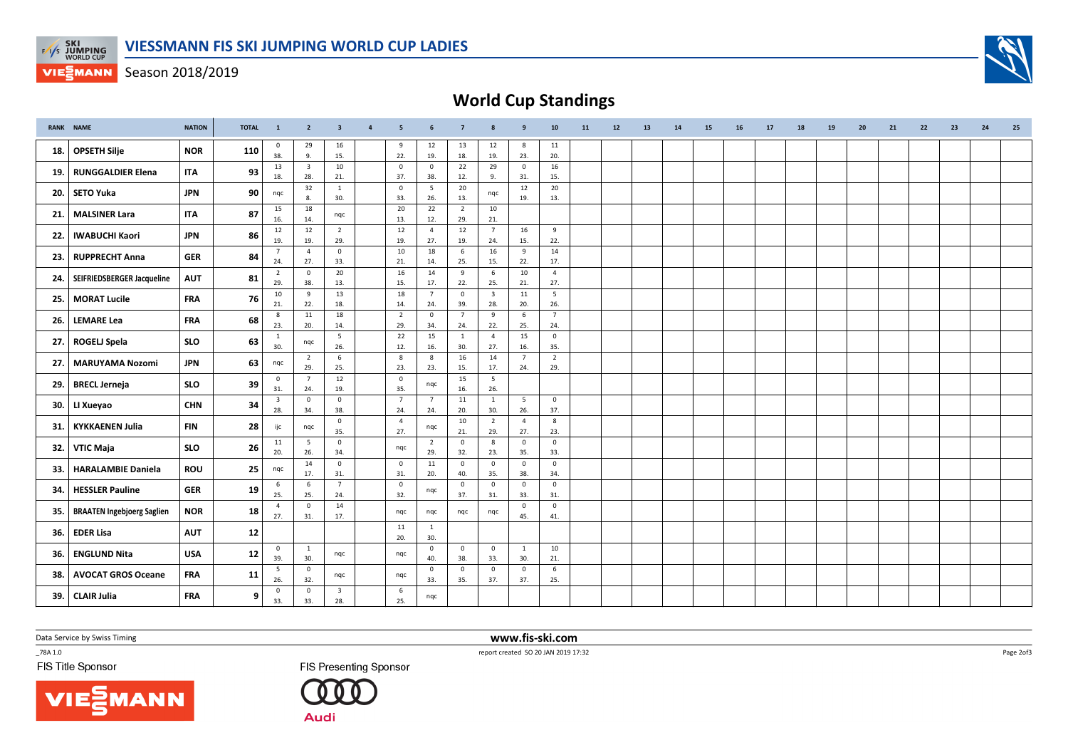

**VIESMANN** Season 2018/2019



|     | <b>RANK NAME</b>                  | <b>NATION</b> | <b>TOTAL</b> | $\mathbf{1}$                   | $\overline{2}$                 | $\overline{\mathbf{3}}$        | $\overline{4}$ | 5 <sub>5</sub>        | 6                     | $\overline{7}$        | 8                              | 9                     | ${\bf 10}$            | 11 | 12 | 13 | 14 | 15 | 16 | 17 | 18 | 19 | 20 | 21 | 22 | 23 | 24 | 25 |
|-----|-----------------------------------|---------------|--------------|--------------------------------|--------------------------------|--------------------------------|----------------|-----------------------|-----------------------|-----------------------|--------------------------------|-----------------------|-----------------------|----|----|----|----|----|----|----|----|----|----|----|----|----|----|----|
| 18. | <b>OPSETH Silje</b>               | <b>NOR</b>    | 110          | $\mathbf 0$<br>38.             | 29<br>9.                       | 16<br>15.                      |                | 9<br>22.              | 12<br>19.             | 13<br>18.             | 12<br>19.                      | 8<br>23.              | 11<br>20.             |    |    |    |    |    |    |    |    |    |    |    |    |    |    |    |
| 19. | <b>RUNGGALDIER Elena</b>          | <b>ITA</b>    | 93           | 13<br>18.                      | $\overline{\mathbf{3}}$<br>28. | 10<br>21.                      |                | $\mathsf 0$<br>37.    | $\circ$<br>38.        | 22<br>12.             | 29<br>9.                       | $\overline{0}$<br>31. | 16<br>15.             |    |    |    |    |    |    |    |    |    |    |    |    |    |    |    |
| 20. | SETO Yuka                         | <b>JPN</b>    | 90           | nqc                            | 32<br>8.                       | 1<br>30.                       |                | $\mathbf 0$<br>33.    | 5<br>26.              | 20<br>13.             | nqc                            | 12<br>19.             | 20<br>13.             |    |    |    |    |    |    |    |    |    |    |    |    |    |    |    |
| 21. | <b>MALSINER Lara</b>              | <b>ITA</b>    | 87           | 15                             | 18                             | ngc                            |                | 20                    | 22                    | $\overline{2}$        | 10                             |                       |                       |    |    |    |    |    |    |    |    |    |    |    |    |    |    |    |
| 22. | <b>IWABUCHI Kaori</b>             | <b>JPN</b>    | 86           | 16.<br>12                      | 14.<br>12                      | $\overline{2}$                 |                | 13.<br>12             | 12.<br>$\overline{4}$ | 29.<br>12             | 21.<br>$\overline{7}$          | 16                    | 9                     |    |    |    |    |    |    |    |    |    |    |    |    |    |    |    |
|     |                                   |               |              | 19.<br>$\overline{7}$          | 19.<br>$\overline{4}$          | 29.<br>$\mathbf 0$             |                | 19.<br>10             | 27.<br>18             | 19.<br>6              | 24.<br>16                      | 15.<br>9              | 22.<br>14             |    |    |    |    |    |    |    |    |    |    |    |    |    |    |    |
| 23. | <b>RUPPRECHT Anna</b>             | <b>GER</b>    | 84           | 24.                            | 27.                            | 33.                            |                | 21.                   | 14.                   | 25.                   | 15.                            | 22.                   | 17.                   |    |    |    |    |    |    |    |    |    |    |    |    |    |    |    |
| 24. | SEIFRIEDSBERGER Jacqueline        | <b>AUT</b>    | 81           | $\overline{2}$<br>29.          | $\mathbf 0$<br>38.             | 20<br>13.                      |                | 16<br>15.             | 14<br>17.             | 9<br>22.              | 6<br>25.                       | 10<br>21.             | $\overline{4}$<br>27. |    |    |    |    |    |    |    |    |    |    |    |    |    |    |    |
| 25. | MORAT Lucile                      | <b>FRA</b>    | 76           | 10<br>21.                      | 9<br>22.                       | 13<br>18.                      |                | 18<br>14.             | $\overline{7}$<br>24. | $\mathbf 0$<br>39.    | $\overline{\mathbf{3}}$<br>28. | 11<br>20.             | 5<br>26.              |    |    |    |    |    |    |    |    |    |    |    |    |    |    |    |
| 26. | <b>LEMARE Lea</b>                 | <b>FRA</b>    | 68           | 8                              | 11                             | 18                             |                | $\overline{2}$        | $\mathbf 0$           | $\overline{7}$        | 9                              | 6                     | $7\overline{ }$       |    |    |    |    |    |    |    |    |    |    |    |    |    |    |    |
|     |                                   |               |              | 23.<br>$\mathbf{1}$            | 20.                            | 14.<br>5                       |                | 29.<br>22             | 34.<br>15             | 24.<br>$\overline{1}$ | 22.<br>$\overline{4}$          | 25.<br>15             | 24.<br>$\mathsf{O}$   |    |    |    |    |    |    |    |    |    |    |    |    |    |    |    |
| 27. | <b>ROGELJ Spela</b>               | <b>SLO</b>    | 63           | 30.                            | nqc                            | 26.                            |                | 12.                   | 16.                   | 30.                   | 27.                            | 16.                   | 35.                   |    |    |    |    |    |    |    |    |    |    |    |    |    |    |    |
| 27. | MARUYAMA Nozomi                   | <b>JPN</b>    | 63           | nqc                            | $\overline{2}$<br>29.          | 6<br>25.                       |                | 8<br>23.              | 8<br>23.              | 16<br>15.             | 14<br>17.                      | $\overline{7}$<br>24. | $\overline{2}$<br>29. |    |    |    |    |    |    |    |    |    |    |    |    |    |    |    |
| 29. | <b>BRECL Jerneja</b>              | <b>SLO</b>    | 39           | $\circ$<br>31.                 | $\overline{7}$<br>24.          | 12<br>19.                      |                | $\mathbf 0$<br>35.    | nqc                   | 15<br>16.             | 5<br>26.                       |                       |                       |    |    |    |    |    |    |    |    |    |    |    |    |    |    |    |
| 30. | LI Xueyao                         | <b>CHN</b>    | 34           | $\overline{\mathbf{3}}$<br>28. | $\mathsf 0$<br>34.             | $\mathbf 0$<br>38.             |                | $\overline{7}$<br>24. | $\overline{7}$<br>24. | 11<br>20.             | 1<br>30.                       | 5<br>26.              | $\mathbf{0}$<br>37.   |    |    |    |    |    |    |    |    |    |    |    |    |    |    |    |
| 31. | KYKKAENEN Julia                   | <b>FIN</b>    | 28           | ijc                            | ngc                            | $\mathbf 0$                    |                | $\overline{4}$        | nqc                   | 10                    | $\overline{2}$                 | $\overline{4}$        | 8                     |    |    |    |    |    |    |    |    |    |    |    |    |    |    |    |
|     |                                   |               |              | 11                             | 5                              | 35.<br>$\mathbf 0$             |                | 27.                   | $\overline{2}$        | 21.<br>$\mathsf 0$    | 29.<br>8                       | 27.<br>$\mathbf 0$    | 23.<br>$\mathsf{O}$   |    |    |    |    |    |    |    |    |    |    |    |    |    |    |    |
| 32. | VTIC Maja                         | <b>SLO</b>    | 26           | 20.                            | 26.                            | 34.<br>$\overline{0}$          |                | ngc                   | 29.                   | 32.                   | 23.                            | 35.                   | 33.                   |    |    |    |    |    |    |    |    |    |    |    |    |    |    |    |
| 33. | <b>HARALAMBIE Daniela</b>         | ROU           | 25           | nqc                            | 14<br>17.                      | 31.                            |                | $\overline{0}$<br>31. | 11<br>20.             | $\mathbf 0$<br>40.    | $\mathbf 0$<br>35.             | $\mathbf 0$<br>38.    | $\mathsf{O}$<br>34.   |    |    |    |    |    |    |    |    |    |    |    |    |    |    |    |
| 34. | <b>HESSLER Pauline</b>            | <b>GER</b>    | 19           | 6<br>25.                       | 6<br>25.                       | $\overline{7}$<br>24.          |                | $\mathsf 0$<br>32.    | nqc                   | $\mathbf 0$<br>37.    | $\mathbf{0}$<br>31.            | $\mathbf 0$<br>33.    | $\mathsf{O}$<br>31.   |    |    |    |    |    |    |    |    |    |    |    |    |    |    |    |
| 35. | <b>BRAATEN Ingebjoerg Saglien</b> | <b>NOR</b>    | 18           | $\overline{4}$<br>27.          | $\mathbf 0$<br>31.             | 14<br>17.                      |                | ngc                   | nqc                   | nqc                   | nqc                            | $\mathbf{0}$<br>45.   | $\mathbf{0}$<br>41.   |    |    |    |    |    |    |    |    |    |    |    |    |    |    |    |
| 36. | <b>EDER Lisa</b>                  | <b>AUT</b>    | 12           |                                |                                |                                |                | 11                    | $\mathbf{1}$          |                       |                                |                       |                       |    |    |    |    |    |    |    |    |    |    |    |    |    |    |    |
| 36. | <b>ENGLUND Nita</b>               | <b>USA</b>    | $12$         | $\mathbf 0$                    | 1                              | nqc                            |                | 20.                   | 30.<br>$\circ$        | $\mathbf 0$           | $\overline{0}$                 | $\mathbf{1}$          | 10                    |    |    |    |    |    |    |    |    |    |    |    |    |    |    |    |
|     |                                   |               |              | 39.<br>5                       | 30.<br>$\mathbf 0$             |                                |                | nqc                   | 40.<br>$\mathbf 0$    | 38.<br>$\mathsf 0$    | 33.<br>$\mathbf{0}$            | 30.<br>$\mathbf{0}$   | 21.<br>6              |    |    |    |    |    |    |    |    |    |    |    |    |    |    |    |
| 38. | <b>AVOCAT GROS Oceane</b>         | <b>FRA</b>    | 11           | 26.                            | 32.                            | ngc                            |                | nqc                   | 33.                   | 35.                   | 37.                            | 37.                   | 25.                   |    |    |    |    |    |    |    |    |    |    |    |    |    |    |    |
| 39. | <b>CLAIR Julia</b>                | <b>FRA</b>    | 9            | $\mathbf 0$<br>33.             | $\mathbf 0$<br>33.             | $\overline{\mathbf{3}}$<br>28. |                | 6<br>25.              | ngc                   |                       |                                |                       |                       |    |    |    |    |    |    |    |    |    |    |    |    |    |    |    |

Data Service by Swiss Timing

 $-78A 1.0$ 

FIS Title Sponsor





 www.fis-ski.comreport created SO 20 JAN 2019 17:32

Page 2of3